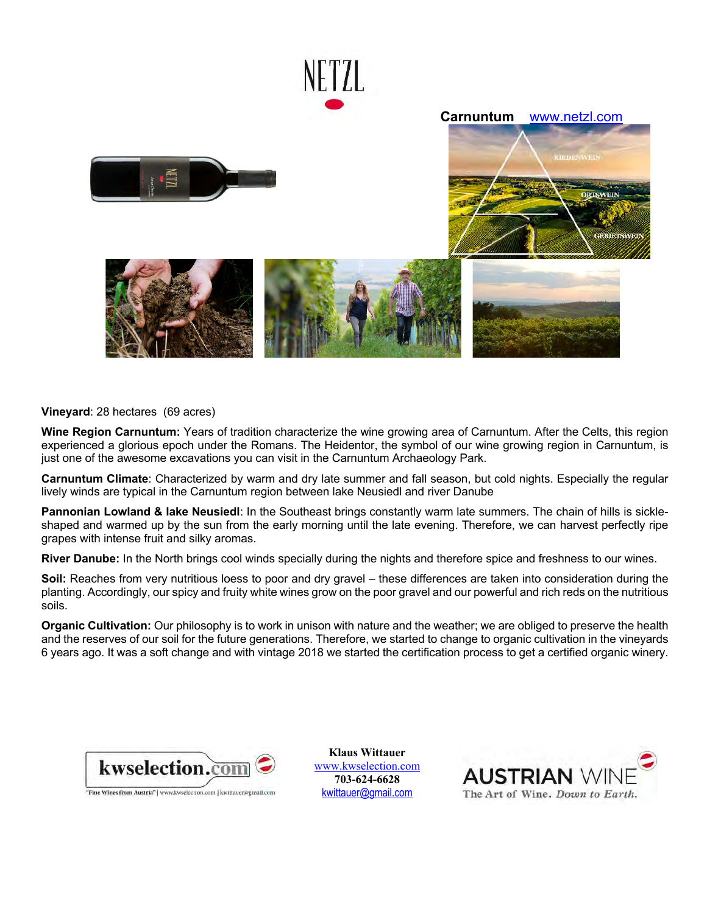

**Vineyard**: 28 hectares (69 acres)

**Wine Region Carnuntum:** Years of tradition characterize the wine growing area of Carnuntum. After the Celts, this region experienced a glorious epoch under the Romans. The Heidentor, the symbol of our wine growing region in Carnuntum, is just one of the awesome excavations you can visit in the Carnuntum Archaeology Park.

**Carnuntum Climate**: Characterized by warm and dry late summer and fall season, but cold nights. Especially the regular lively winds are typical in the Carnuntum region between lake Neusiedl and river Danube

**Pannonian Lowland & lake Neusiedl**: In the Southeast brings constantly warm late summers. The chain of hills is sickleshaped and warmed up by the sun from the early morning until the late evening. Therefore, we can harvest perfectly ripe grapes with intense fruit and silky aromas.

**River Danube:** In the North brings cool winds specially during the nights and therefore spice and freshness to our wines.

**Soil:** Reaches from very nutritious loess to poor and dry gravel – these differences are taken into consideration during the planting. Accordingly, our spicy and fruity white wines grow on the poor gravel and our powerful and rich reds on the nutritious soils.

**Organic Cultivation:** Our philosophy is to work in unison with nature and the weather; we are obliged to preserve the health and the reserves of our soil for the future generations. Therefore, we started to change to organic cultivation in the vineyards 6 years ago. It was a soft change and with vintage 2018 we started the certification process to get a certified organic winery.



**Klaus Wittauer**  www.kwselection.com **703-624-6628**  kwittauer@gmail.com

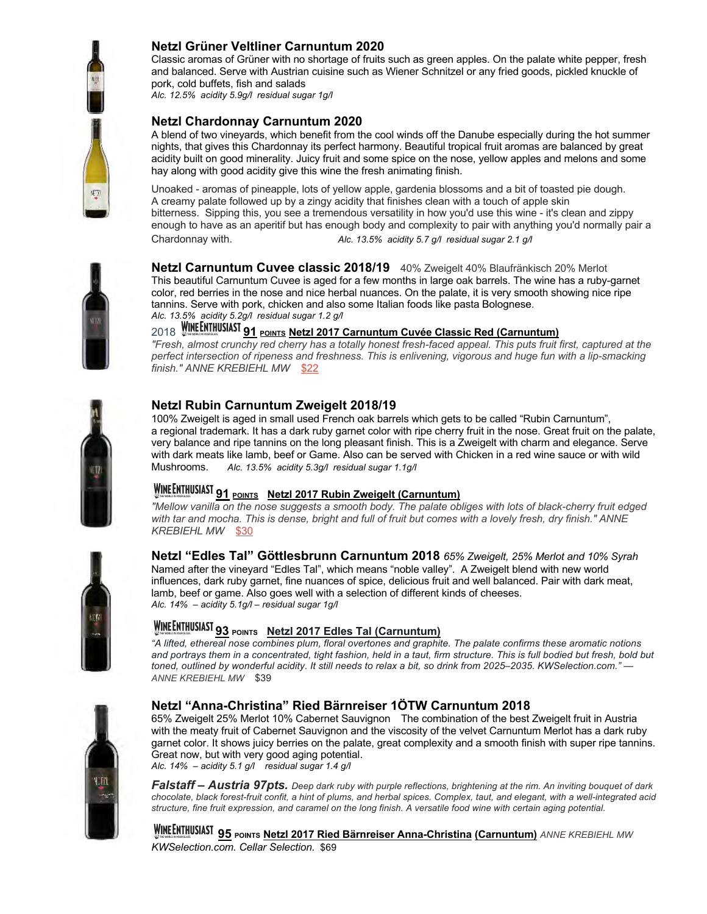

### **Netzl Grüner Veltliner Carnuntum 2020**

Classic aromas of Grüner with no shortage of fruits such as green apples. On the palate white pepper, fresh and balanced. Serve with Austrian cuisine such as Wiener Schnitzel or any fried goods, pickled knuckle of pork, cold buffets, fish and salads

*Alc. 12.5% acidity 5.9g/l residual sugar 1g/l* 

### **Netzl Chardonnay Carnuntum 2020**

A blend of two vineyards, which benefit from the cool winds off the Danube especially during the hot summer nights, that gives this Chardonnay its perfect harmony. Beautiful tropical fruit aromas are balanced by great acidity built on good minerality. Juicy fruit and some spice on the nose, yellow apples and melons and some hay along with good acidity give this wine the fresh animating finish.

Unoaked - aromas of pineapple, lots of yellow apple, gardenia blossoms and a bit of toasted pie dough. A creamy palate followed up by a zingy acidity that finishes clean with a touch of apple skin bitterness. Sipping this, you see a tremendous versatility in how you'd use this wine - it's clean and zippy enough to have as an aperitif but has enough body and complexity to pair with anything you'd normally pair a Chardonnay with. *Alc. 13.5% acidity 5.7 g/l residual sugar 2.1 g/l* 



### **Netzl Carnuntum Cuvee classic 2018/19** 40% Zweigelt 40% Blaufränkisch 20% Merlot This beautiful Carnuntum Cuvee is aged for a few months in large oak barrels. The wine has a ruby-garnet color, red berries in the nose and nice herbal nuances. On the palate, it is very smooth showing nice ripe tannins. Serve with pork, chicken and also some Italian foods like pasta Bolognese.*Alc. 13.5% acidity 5.2g/l residual sugar 1.2 g/l*

2018 WINEENTHUSIAST **91** POINTS Netzl 2017 Carnuntum Cuvée Classic Red (Carnuntum)

*"Fresh, almost crunchy red cherry has a totally honest fresh-faced appeal. This puts fruit first, captured at the perfect intersection of ripeness and freshness. This is enlivening, vigorous and huge fun with a lip-smacking finish." ANNE KREBIEHL MW* \$22



#### **Netzl Rubin Carnuntum Zweigelt 2018/19**

100% Zweigelt is aged in small used French oak barrels which gets to be called "Rubin Carnuntum", a regional trademark. It has a dark ruby garnet color with ripe cherry fruit in the nose. Great fruit on the palate, very balance and ripe tannins on the long pleasant finish. This is a Zweigelt with charm and elegance. Serve with dark meats like lamb, beef or Game. Also can be served with Chicken in a red wine sauce or with wild<br>Mushrooms. Alc. 13.5% acidity 5.3a/l residual sugar 1.1a/l Alc. 13.5% acidity 5.3g/l residual sugar 1.1g/l

## **WINEENTHUSIAST 91 POINTS Netzl 2017 Rubin Zweigelt (Carnuntum)**

*"Mellow vanilla on the nose suggests a smooth body. The palate obliges with lots of black-cherry fruit edged with tar and mocha. This is dense, bright and full of fruit but comes with a lovely fresh, dry finish." ANNE KREBIEHL MW* \$30

**Netzl "Edles Tal" Göttlesbrunn Carnuntum 2018** *65% Zweigelt, 25% Merlot and 10% Syrah* Named after the vineyard "Edles Tal", which means "noble valley". A Zweigelt blend with new world influences, dark ruby garnet, fine nuances of spice, delicious fruit and well balanced. Pair with dark meat,



# **93 POINTS Netzl 2017 Edles Tal (Carnuntum)**

*"A lifted, ethereal nose combines plum, floral overtones and graphite. The palate confirms these aromatic notions*  and portrays them in a concentrated, tight fashion, held in a taut, firm structure. This is full bodied but fresh, bold but *toned, outlined by wonderful acidity. It still needs to relax a bit, so drink from 2025–2035. KWSelection.com."* — *ANNE KREBIEHL MW* \$39



### **Netzl "Anna-Christina" Ried Bärnreiser 1ÖTW Carnuntum 2018**

lamb, beef or game. Also goes well with a selection of different kinds of cheeses.

65% Zweigelt 25% Merlot 10% Cabernet Sauvignon The combination of the best Zweigelt fruit in Austria with the meaty fruit of Cabernet Sauvignon and the viscosity of the velvet Carnuntum Merlot has a dark ruby garnet color. It shows juicy berries on the palate, great complexity and a smooth finish with super ripe tannins. Great now, but with very good aging potential.

*Alc. 14% – acidity 5.1 g/l residual sugar 1.4 g/l* 

*Alc. 14% – acidity 5.1g/l – residual sugar 1g/l* 

*Falstaff – Austria 97pts. Deep dark ruby with purple reflections, brightening at the rim. An inviting bouquet of dark chocolate, black forest-fruit confit, a hint of plums, and herbal spices. Complex, taut, and elegant, with a well-integrated acid structure, fine fruit expression, and caramel on the long finish. A versatile food wine with certain aging potential.*

**95 POINTS Netzl 2017 Ried Bärnreiser Anna-Christina (Carnuntum)** *ANNE KREBIEHL MW KWSelection.com. Cellar Selection.* \$69